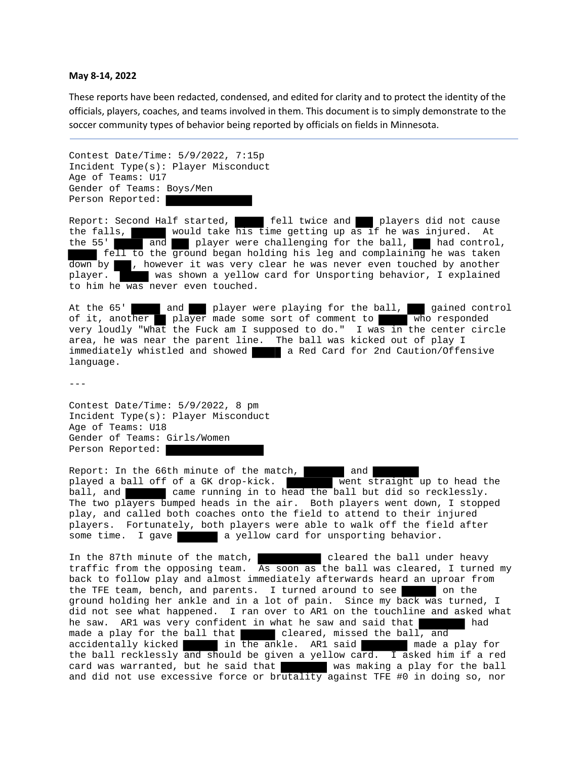## **May 8‐14, 2022**

These reports have been redacted, condensed, and edited for clarity and to protect the identity of the officials, players, coaches, and teams involved in them. This document is to simply demonstrate to the soccer community types of behavior being reported by officials on fields in Minnesota.

Contest Date/Time: 5/9/2022, 7:15p Incident Type(s): Player Misconduct Age of Teams: U17 Gender of Teams: Boys/Men Person Reported:

Report: Second Half started, **fell twice and players did not cause** the falls, **would take his time getting up** as if he was injured. At the 55' and player were challenging for the ball, had control, fell to the ground began holding his leg and complaining he was taken  $\overline{down}$  by  $\blacksquare$ , however it was very clear he was never even touched by another player. was shown a yellow card for Unsporting behavior, I explained to him he was never even touched.

At the 65' and player were playing for the ball, gained control of it, another player made some sort of comment to who responded very loudly "What the Fuck am I supposed to do." I was in the center circle area, he was near the parent line. The ball was kicked out of play I immediately whistled and showed a Red Card for 2nd Caution/Offensive language.

 $- - -$ 

Contest Date/Time: 5/9/2022, 8 pm Incident Type(s): Player Misconduct Age of Teams: U18 Gender of Teams: Girls/Women Person Reported:

Report: In the 66th minute of the match,<br>played a ball off of a GK drop-kick. Went straight up to head the played a ball off of a GK drop-kick. ball, and came running in to head the ball but did so recklessly. The two players bumped heads in the air. Both players went down, I stopped play, and called both coaches onto the field to attend to their injured players. Fortunately, both players were able to walk off the field after some time. I gave a yellow card for unsporting behavior.

In the 87th minute of the match, cleared the ball under heavy traffic from the opposing team. As soon as the ball was cleared, I turned my back to follow play and almost immediately afterwards heard an uproar from the TFE team, bench, and parents. I turned around to see ground holding her ankle and in a lot of pain. Since my back was turned, I did not see what happened. I ran over to AR1 on the touchline and asked what he saw. AR1 was very confident in what he saw and said that had made a play for the ball that cleared, missed the ball, and accidentally kicked in the ankle. AR1 said made a play for the ball recklessly and should be given a yellow card. I asked him if a red card was warranted, but he said that was making a play for the ball and did not use excessive force or brutality against TFE #0 in doing so, nor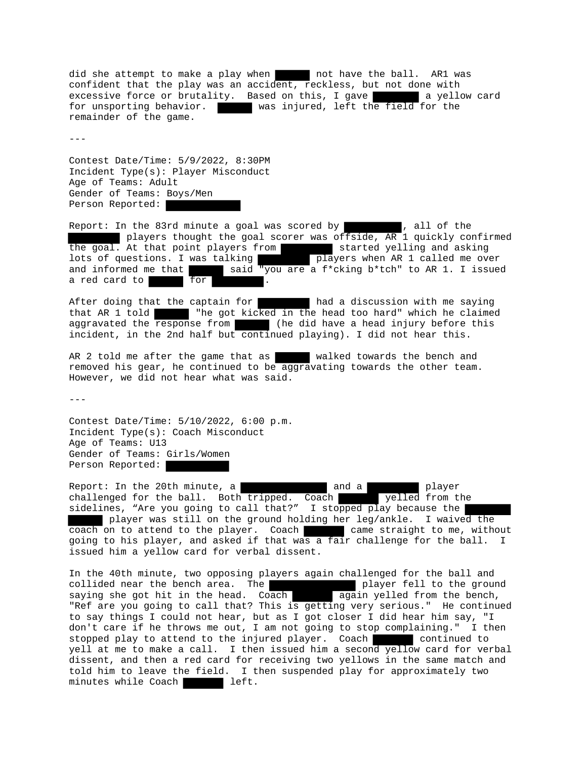did she attempt to make a play when not have the ball. AR1 was confident that the play was an accident, reckless, but not done with excessive force or brutality. Based on this, I gave a vellow card for unsporting behavior. was injured, left the field for the remainder of the game.

 $-$ 

Contest Date/Time: 5/9/2022, 8:30PM Incident Type(s): Player Misconduct Age of Teams: Adult Gender of Teams: Boys/Men Person Reported:

Report: In the 83rd minute a goal was scored by **the substitute** , all of the players thought the goal scorer was offside, AR 1 quickly confirmed the goal. At that point players from started yelling and asking lots of questions. I was talking **players** when AR 1 called me over and informed me that  $\blacksquare$  said "you are a f\*cking b\*tch" to AR 1. I issued a red card to for

After doing that the captain for **had a discussion with me saying** that AR 1 told with the got kicked in the head too hard" which he claimed aggravated the response from (he did have a head injury before this incident, in the 2nd half but continued playing). I did not hear this.

AR 2 told me after the game that as walked towards the bench and removed his gear, he continued to be aggravating towards the other team. However, we did not hear what was said.

 $-$ - $-$ 

Contest Date/Time: 5/10/2022, 6:00 p.m. Incident Type(s): Coach Misconduct Age of Teams: U13 Gender of Teams: Girls/Women Person Reported:

Report: In the 20th minute, a and a and a player challenged for the ball. Both tripped. Coach yelled from the sidelines, "Are you going to call that?" I stopped play because the player was still on the ground holding her leg/ankle. I waived the coach on to attend to the player. Coach came straight to me, without going to his player, and asked if that was a fair challenge for the ball. I issued him a yellow card for verbal dissent.

In the 40th minute, two opposing players again challenged for the ball and collided near the bench area. The player fell to the ground saying she got hit in the head. Coach again yelled from the bench, "Ref are you going to call that? This is getting very serious." He continued to say things I could not hear, but as I got closer I did hear him say, "I don't care if he throws me out, I am not going to stop complaining." I then stopped play to attend to the injured player. Coach continued to yell at me to make a call. I then issued him a second yellow card for verbal dissent, and then a red card for receiving two yellows in the same match and told him to leave the field. I then suspended play for approximately two minutes while Coach **left.**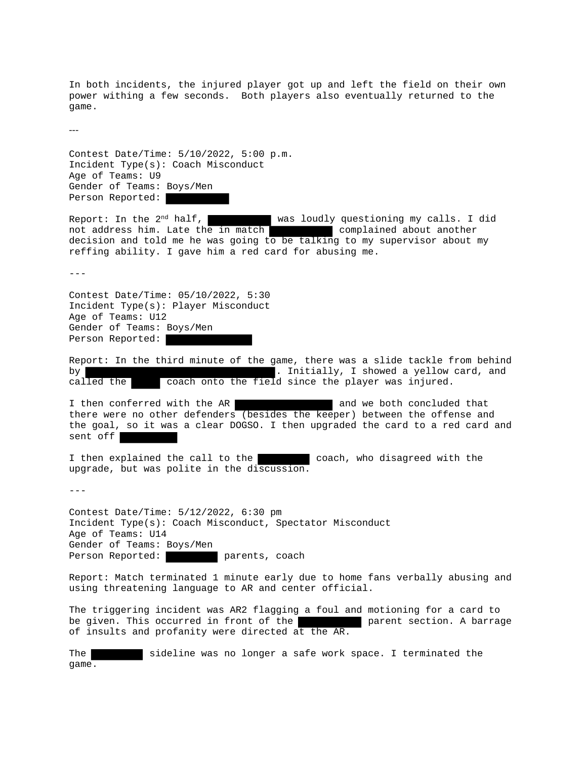In both incidents, the injured player got up and left the field on their own power withing a few seconds. Both players also eventually returned to the game.

‐‐‐

Contest Date/Time: 5/10/2022, 5:00 p.m. Incident Type(s): Coach Misconduct Age of Teams: U9 Gender of Teams: Boys/Men Person Reported:

Report: In the  $2^{nd}$  half, was loudly questioning my calls. I did not address him. Late the in match complained about another decision and told me he was going to be talking to my supervisor about my reffing ability. I gave him a red card for abusing me.

---

Contest Date/Time: 05/10/2022, 5:30 Incident Type(s): Player Misconduct Age of Teams: U12 Gender of Teams: Boys/Men Person Reported:

Report: In the third minute of the game, there was a slide tackle from behind by **Extract 2** of the state of the state of the state of the state of the state of the state of the state of the state of the state of the state of the state of the state of the state of the state of the state of the state called the coach onto the field since the player was injured.

I then conferred with the AR and we both concluded that there were no other defenders (besides the keeper) between the offense and the goal, so it was a clear DOGSO. I then upgraded the card to a red card and sent off

I then explained the call to the coach, who disagreed with the upgrade, but was polite in the discussion.

---

Contest Date/Time: 5/12/2022, 6:30 pm Incident Type(s): Coach Misconduct, Spectator Misconduct Age of Teams: U14 Gender of Teams: Boys/Men Person Reported: parents, coach

Report: Match terminated 1 minute early due to home fans verbally abusing and using threatening language to AR and center official.

The triggering incident was AR2 flagging a foul and motioning for a card to be given. This occurred in front of the parent section. A barrage of insults and profanity were directed at the AR.

The sideline was no longer a safe work space. I terminated the game.